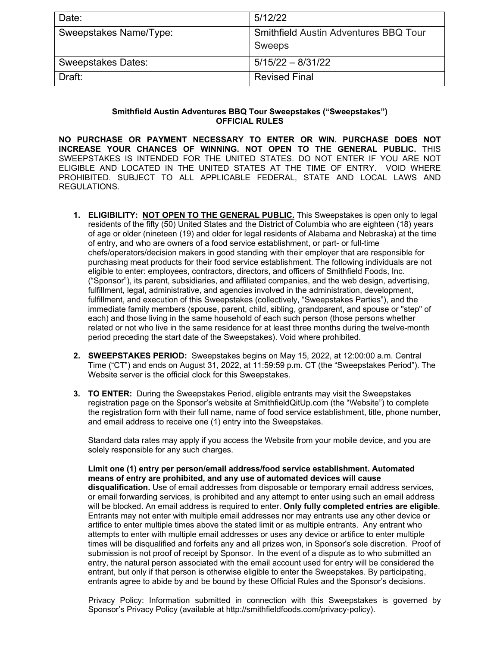| Date:                     | 5/12/22                                      |
|---------------------------|----------------------------------------------|
| Sweepstakes Name/Type:    | <b>Smithfield Austin Adventures BBQ Tour</b> |
|                           | <b>Sweeps</b>                                |
| <b>Sweepstakes Dates:</b> | $5/15/22 - 8/31/22$                          |
| Draft:                    | <b>Revised Final</b>                         |

## **Smithfield Austin Adventures BBQ Tour Sweepstakes ("Sweepstakes") OFFICIAL RULES**

**NO PURCHASE OR PAYMENT NECESSARY TO ENTER OR WIN. PURCHASE DOES NOT INCREASE YOUR CHANCES OF WINNING. NOT OPEN TO THE GENERAL PUBLIC.** THIS SWEEPSTAKES IS INTENDED FOR THE UNITED STATES. DO NOT ENTER IF YOU ARE NOT ELIGIBLE AND LOCATED IN THE UNITED STATES AT THE TIME OF ENTRY. VOID WHERE PROHIBITED. SUBJECT TO ALL APPLICABLE FEDERAL, STATE AND LOCAL LAWS AND REGULATIONS.

- **1. ELIGIBILITY: NOT OPEN TO THE GENERAL PUBLIC.** This Sweepstakes is open only to legal residents of the fifty (50) United States and the District of Columbia who are eighteen (18) years of age or older (nineteen (19) and older for legal residents of Alabama and Nebraska) at the time of entry, and who are owners of a food service establishment, or part- or full-time chefs/operators/decision makers in good standing with their employer that are responsible for purchasing meat products for their food service establishment. The following individuals are not eligible to enter: employees, contractors, directors, and officers of Smithfield Foods, Inc. ("Sponsor"), its parent, subsidiaries, and affiliated companies, and the web design, advertising, fulfillment, legal, administrative, and agencies involved in the administration, development, fulfillment, and execution of this Sweepstakes (collectively, "Sweepstakes Parties"), and the immediate family members (spouse, parent, child, sibling, grandparent, and spouse or "step" of each) and those living in the same household of each such person (those persons whether related or not who live in the same residence for at least three months during the twelve-month period preceding the start date of the Sweepstakes). Void where prohibited.
- **2. SWEEPSTAKES PERIOD:** Sweepstakes begins on May 15, 2022, at 12:00:00 a.m. Central Time ("CT") and ends on August 31, 2022, at 11:59:59 p.m. CT (the "Sweepstakes Period"). The Website server is the official clock for this Sweepstakes.
- **3. TO ENTER:** During the Sweepstakes Period, eligible entrants may visit the Sweepstakes registration page on the Sponsor's website at SmithfieldQitUp.com (the "Website") to complete the registration form with their full name, name of food service establishment, title, phone number, and email address to receive one (1) entry into the Sweepstakes.

Standard data rates may apply if you access the Website from your mobile device, and you are solely responsible for any such charges.

**Limit one (1) entry per person/email address/food service establishment. Automated means of entry are prohibited, and any use of automated devices will cause disqualification.** Use of email addresses from disposable or temporary email address services, or email forwarding services, is prohibited and any attempt to enter using such an email address will be blocked. An email address is required to enter. **Only fully completed entries are eligible**. Entrants may not enter with multiple email addresses nor may entrants use any other device or artifice to enter multiple times above the stated limit or as multiple entrants. Any entrant who attempts to enter with multiple email addresses or uses any device or artifice to enter multiple times will be disqualified and forfeits any and all prizes won, in Sponsor's sole discretion. Proof of submission is not proof of receipt by Sponsor. In the event of a dispute as to who submitted an entry, the natural person associated with the email account used for entry will be considered the entrant, but only if that person is otherwise eligible to enter the Sweepstakes. By participating, entrants agree to abide by and be bound by these Official Rules and the Sponsor's decisions.

Privacy Policy: Information submitted in connection with this Sweepstakes is governed by Sponsor's Privacy Policy (available at http://smithfieldfoods.com/privacy-policy).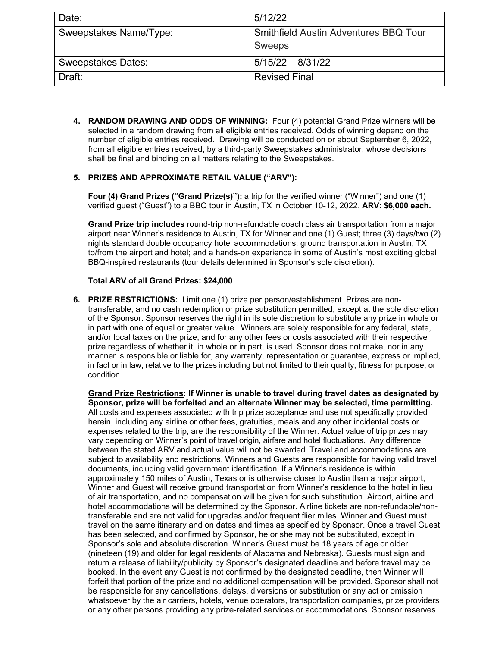| Date:                     | 5/12/22                               |
|---------------------------|---------------------------------------|
| Sweepstakes Name/Type:    | Smithfield Austin Adventures BBQ Tour |
|                           | Sweeps                                |
| <b>Sweepstakes Dates:</b> | $5/15/22 - 8/31/22$                   |
| Draft:                    | <b>Revised Final</b>                  |

**4. RANDOM DRAWING AND ODDS OF WINNING:** Four (4) potential Grand Prize winners will be selected in a random drawing from all eligible entries received. Odds of winning depend on the number of eligible entries received. Drawing will be conducted on or about September 6, 2022, from all eligible entries received, by a third-party Sweepstakes administrator, whose decisions shall be final and binding on all matters relating to the Sweepstakes.

## **5. PRIZES AND APPROXIMATE RETAIL VALUE ("ARV"):**

**Four (4) Grand Prizes ("Grand Prize(s)"):** a trip for the verified winner ("Winner") and one (1) verified guest ("Guest") to a BBQ tour in Austin, TX in October 10-12, 2022. **ARV: \$6,000 each.**

**Grand Prize trip includes** round-trip non-refundable coach class air transportation from a major airport near Winner's residence to Austin, TX for Winner and one (1) Guest; three (3) days/two (2) nights standard double occupancy hotel accommodations; ground transportation in Austin, TX to/from the airport and hotel; and a hands-on experience in some of Austin's most exciting global BBQ-inspired restaurants (tour details determined in Sponsor's sole discretion).

## **Total ARV of all Grand Prizes: \$24,000**

**6. PRIZE RESTRICTIONS:** Limit one (1) prize per person/establishment. Prizes are nontransferable, and no cash redemption or prize substitution permitted, except at the sole discretion of the Sponsor. Sponsor reserves the right in its sole discretion to substitute any prize in whole or in part with one of equal or greater value. Winners are solely responsible for any federal, state, and/or local taxes on the prize, and for any other fees or costs associated with their respective prize regardless of whether it, in whole or in part, is used. Sponsor does not make, nor in any manner is responsible or liable for, any warranty, representation or guarantee, express or implied, in fact or in law, relative to the prizes including but not limited to their quality, fitness for purpose, or condition.

**Grand Prize Restrictions: If Winner is unable to travel during travel dates as designated by Sponsor, prize will be forfeited and an alternate Winner may be selected, time permitting.**  All costs and expenses associated with trip prize acceptance and use not specifically provided herein, including any airline or other fees, gratuities, meals and any other incidental costs or expenses related to the trip, are the responsibility of the Winner. Actual value of trip prizes may vary depending on Winner's point of travel origin, airfare and hotel fluctuations. Any difference between the stated ARV and actual value will not be awarded. Travel and accommodations are subject to availability and restrictions. Winners and Guests are responsible for having valid travel documents, including valid government identification. If a Winner's residence is within approximately 150 miles of Austin, Texas or is otherwise closer to Austin than a major airport, Winner and Guest will receive ground transportation from Winner's residence to the hotel in lieu of air transportation, and no compensation will be given for such substitution. Airport, airline and hotel accommodations will be determined by the Sponsor. Airline tickets are non-refundable/nontransferable and are not valid for upgrades and/or frequent flier miles. Winner and Guest must travel on the same itinerary and on dates and times as specified by Sponsor. Once a travel Guest has been selected, and confirmed by Sponsor, he or she may not be substituted, except in Sponsor's sole and absolute discretion. Winner's Guest must be 18 years of age or older (nineteen (19) and older for legal residents of Alabama and Nebraska). Guests must sign and return a release of liability/publicity by Sponsor's designated deadline and before travel may be booked. In the event any Guest is not confirmed by the designated deadline, then Winner will forfeit that portion of the prize and no additional compensation will be provided. Sponsor shall not be responsible for any cancellations, delays, diversions or substitution or any act or omission whatsoever by the air carriers, hotels, venue operators, transportation companies, prize providers or any other persons providing any prize-related services or accommodations. Sponsor reserves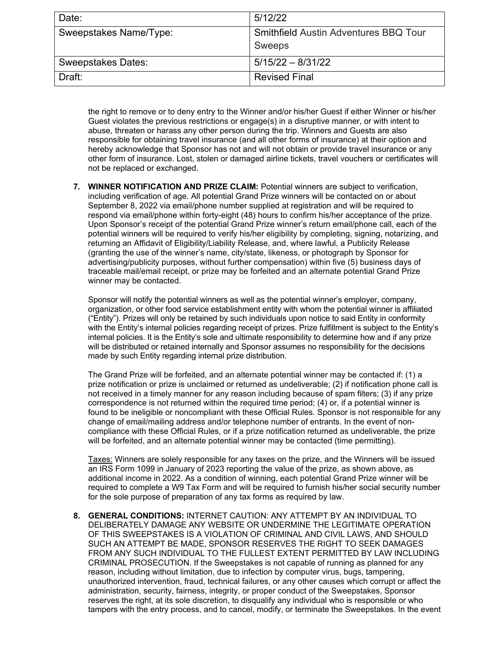| Date:                     | 5/12/22                                                       |
|---------------------------|---------------------------------------------------------------|
| Sweepstakes Name/Type:    | <b>Smithfield Austin Adventures BBQ Tour</b><br><b>Sweeps</b> |
| <b>Sweepstakes Dates:</b> | $5/15/22 - 8/31/22$                                           |
| Draft:                    | <b>Revised Final</b>                                          |

the right to remove or to deny entry to the Winner and/or his/her Guest if either Winner or his/her Guest violates the previous restrictions or engage(s) in a disruptive manner, or with intent to abuse, threaten or harass any other person during the trip. Winners and Guests are also responsible for obtaining travel insurance (and all other forms of insurance) at their option and hereby acknowledge that Sponsor has not and will not obtain or provide travel insurance or any other form of insurance. Lost, stolen or damaged airline tickets, travel vouchers or certificates will not be replaced or exchanged.

**7. WINNER NOTIFICATION AND PRIZE CLAIM:** Potential winners are subject to verification, including verification of age. All potential Grand Prize winners will be contacted on or about September 8, 2022 via email/phone number supplied at registration and will be required to respond via email/phone within forty-eight (48) hours to confirm his/her acceptance of the prize. Upon Sponsor's receipt of the potential Grand Prize winner's return email/phone call, each of the potential winners will be required to verify his/her eligibility by completing, signing, notarizing, and returning an Affidavit of Eligibility/Liability Release, and, where lawful, a Publicity Release (granting the use of the winner's name, city/state, likeness, or photograph by Sponsor for advertising/publicity purposes, without further compensation) within five (5) business days of traceable mail/email receipt, or prize may be forfeited and an alternate potential Grand Prize winner may be contacted.

Sponsor will notify the potential winners as well as the potential winner's employer, company, organization, or other food service establishment entity with whom the potential winner is affiliated ("Entity"). Prizes will only be retained by such individuals upon notice to said Entity in conformity with the Entity's internal policies regarding receipt of prizes. Prize fulfillment is subject to the Entity's internal policies. It is the Entity's sole and ultimate responsibility to determine how and if any prize will be distributed or retained internally and Sponsor assumes no responsibility for the decisions made by such Entity regarding internal prize distribution.

The Grand Prize will be forfeited, and an alternate potential winner may be contacted if: (1) a prize notification or prize is unclaimed or returned as undeliverable; (2) if notification phone call is not received in a timely manner for any reason including because of spam filters; (3) if any prize correspondence is not returned within the required time period; (4) or, if a potential winner is found to be ineligible or noncompliant with these Official Rules. Sponsor is not responsible for any change of email/mailing address and/or telephone number of entrants. In the event of noncompliance with these Official Rules, or if a prize notification returned as undeliverable, the prize will be forfeited, and an alternate potential winner may be contacted (time permitting).

Taxes: Winners are solely responsible for any taxes on the prize, and the Winners will be issued an IRS Form 1099 in January of 2023 reporting the value of the prize, as shown above, as additional income in 2022. As a condition of winning, each potential Grand Prize winner will be required to complete a W9 Tax Form and will be required to furnish his/her social security number for the sole purpose of preparation of any tax forms as required by law.

**8. GENERAL CONDITIONS:** INTERNET CAUTION: ANY ATTEMPT BY AN INDIVIDUAL TO DELIBERATELY DAMAGE ANY WEBSITE OR UNDERMINE THE LEGITIMATE OPERATION OF THIS SWEEPSTAKES IS A VIOLATION OF CRIMINAL AND CIVIL LAWS, AND SHOULD SUCH AN ATTEMPT BE MADE, SPONSOR RESERVES THE RIGHT TO SEEK DAMAGES FROM ANY SUCH INDIVIDUAL TO THE FULLEST EXTENT PERMITTED BY LAW INCLUDING CRIMINAL PROSECUTION. If the Sweepstakes is not capable of running as planned for any reason, including without limitation, due to infection by computer virus, bugs, tampering, unauthorized intervention, fraud, technical failures, or any other causes which corrupt or affect the administration, security, fairness, integrity, or proper conduct of the Sweepstakes, Sponsor reserves the right, at its sole discretion, to disqualify any individual who is responsible or who tampers with the entry process, and to cancel, modify, or terminate the Sweepstakes. In the event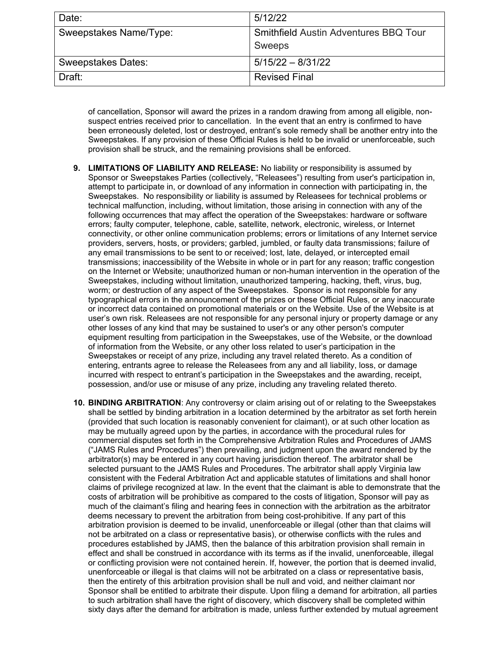| Date:                     | 5/12/22                                                |
|---------------------------|--------------------------------------------------------|
| Sweepstakes Name/Type:    | <b>Smithfield Austin Adventures BBQ Tour</b><br>Sweeps |
| <b>Sweepstakes Dates:</b> | $5/15/22 - 8/31/22$                                    |
| Draft:                    | <b>Revised Final</b>                                   |

of cancellation, Sponsor will award the prizes in a random drawing from among all eligible, nonsuspect entries received prior to cancellation. In the event that an entry is confirmed to have been erroneously deleted, lost or destroyed, entrant's sole remedy shall be another entry into the Sweepstakes. If any provision of these Official Rules is held to be invalid or unenforceable, such provision shall be struck, and the remaining provisions shall be enforced.

- **9. LIMITATIONS OF LIABILITY AND RELEASE:** No liability or responsibility is assumed by Sponsor or Sweepstakes Parties (collectively, "Releasees") resulting from user's participation in, attempt to participate in, or download of any information in connection with participating in, the Sweepstakes. No responsibility or liability is assumed by Releasees for technical problems or technical malfunction, including, without limitation, those arising in connection with any of the following occurrences that may affect the operation of the Sweepstakes: hardware or software errors; faulty computer, telephone, cable, satellite, network, electronic, wireless, or Internet connectivity, or other online communication problems; errors or limitations of any Internet service providers, servers, hosts, or providers; garbled, jumbled, or faulty data transmissions; failure of any email transmissions to be sent to or received; lost, late, delayed, or intercepted email transmissions; inaccessibility of the Website in whole or in part for any reason; traffic congestion on the Internet or Website; unauthorized human or non-human intervention in the operation of the Sweepstakes, including without limitation, unauthorized tampering, hacking, theft, virus, bug, worm; or destruction of any aspect of the Sweepstakes. Sponsor is not responsible for any typographical errors in the announcement of the prizes or these Official Rules, or any inaccurate or incorrect data contained on promotional materials or on the Website. Use of the Website is at user's own risk. Releasees are not responsible for any personal injury or property damage or any other losses of any kind that may be sustained to user's or any other person's computer equipment resulting from participation in the Sweepstakes, use of the Website, or the download of information from the Website, or any other loss related to user's participation in the Sweepstakes or receipt of any prize, including any travel related thereto. As a condition of entering, entrants agree to release the Releasees from any and all liability, loss, or damage incurred with respect to entrant's participation in the Sweepstakes and the awarding, receipt, possession, and/or use or misuse of any prize, including any traveling related thereto.
- **10. BINDING ARBITRATION**: Any controversy or claim arising out of or relating to the Sweepstakes shall be settled by binding arbitration in a location determined by the arbitrator as set forth herein (provided that such location is reasonably convenient for claimant), or at such other location as may be mutually agreed upon by the parties, in accordance with the procedural rules for commercial disputes set forth in the Comprehensive Arbitration Rules and Procedures of JAMS ("JAMS Rules and Procedures") then prevailing, and judgment upon the award rendered by the arbitrator(s) may be entered in any court having jurisdiction thereof. The arbitrator shall be selected pursuant to the JAMS Rules and Procedures. The arbitrator shall apply Virginia law consistent with the Federal Arbitration Act and applicable statutes of limitations and shall honor claims of privilege recognized at law. In the event that the claimant is able to demonstrate that the costs of arbitration will be prohibitive as compared to the costs of litigation, Sponsor will pay as much of the claimant's filing and hearing fees in connection with the arbitration as the arbitrator deems necessary to prevent the arbitration from being cost-prohibitive. If any part of this arbitration provision is deemed to be invalid, unenforceable or illegal (other than that claims will not be arbitrated on a class or representative basis), or otherwise conflicts with the rules and procedures established by JAMS, then the balance of this arbitration provision shall remain in effect and shall be construed in accordance with its terms as if the invalid, unenforceable, illegal or conflicting provision were not contained herein. If, however, the portion that is deemed invalid, unenforceable or illegal is that claims will not be arbitrated on a class or representative basis, then the entirety of this arbitration provision shall be null and void, and neither claimant nor Sponsor shall be entitled to arbitrate their dispute. Upon filing a demand for arbitration, all parties to such arbitration shall have the right of discovery, which discovery shall be completed within sixty days after the demand for arbitration is made, unless further extended by mutual agreement